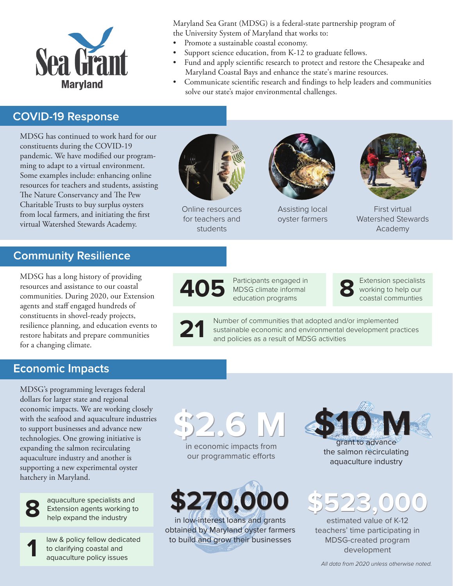

Maryland Sea Grant (MDSG) is a federal-state partnership program of the University System of Maryland that works to:

- Promote a sustainable coastal economy.
- Support science education, from K-12 to graduate fellows. • Fund and apply scientific research to protect and restore the Chesapeake and
	- Maryland Coastal Bays and enhance the state's marine resources.
- [Communicate scientific research and findings to help leaders and communities](https://www.mdsg.umd.edu/biennial-report)  solve our state's major environmental challenges.

#### **COVID-19 Response**

MDSG has continued to work hard for our constituents during the COVID-19 pandemic. We have modified our programming to adapt to a virtual environment. Some examples include: enhancing online resources for teachers and students, assisting The Nature Conservancy and The Pew Charitable Trusts to buy surplus oysters from local farmers, and initiating the first virtual Watershed Stewards Academy.



[Online resources](https://www.mdsg.umd.edu/topics/k-12-lesson-plans/k-12-instructional-strategies)  for teachers and students



[Assisting local](https://www.mdsg.umd.edu/topics/fisheries/fisheries-and-aquaculture)  oyster farmers



First virtual [Watershed Stewards](https://www.mdsg.umd.edu/water-issues-and-restoration)  Academy

### **Community Resilience**

MDSG has a long history of providing resources and assistance to our coastal communities. During 2020, our Extension agents and staff engaged hundreds of constituents in shovel-ready projects, [resilience planning, and education events to](https://www.mdsg.umd.edu/coastal-climate-resilience)  restore habitats and prepare communities for a changing climate.

**405**

Participants engaged in MDSG climate informal education programs

Extension specialists<br>
working to help our<br>
coastal communies coastal communties

**21** Number of communities that adopted and/or implemented sustainable economic and environmental development practices and policies as a result of MDSG activities

#### **Economic Impacts**

MDSG's programming leverages federal dollars for larger state and regional economic impacts. We are working closely with the seafood and aquaculture industries to support businesses and advance new technologies. One growing initiative is expanding the salmon recirculating aquaculture industry and another is supporting a new experimental oyster hatchery in Maryland.



aquaculture specialists and [Extension agents working to](https://www.mdsg.umd.edu/topics/fisheries/fisheries-and-aquaculture) **8** help expand the industry

[law & policy fellow dedicated](https://www.mdsg.umd.edu/topics/maryland-law-and-policy-fellowship)  to clarifying coastal and **1** aquaculture policy issues



in economic impacts from our programmatic efforts



in low-interest loans and grants obtained by Maryland oyster farmers to build and grow their businesses



grant to advance the salmon recirculating aquaculture industry



estimated value of K-12 teachers' time participating in MDSG-created program development